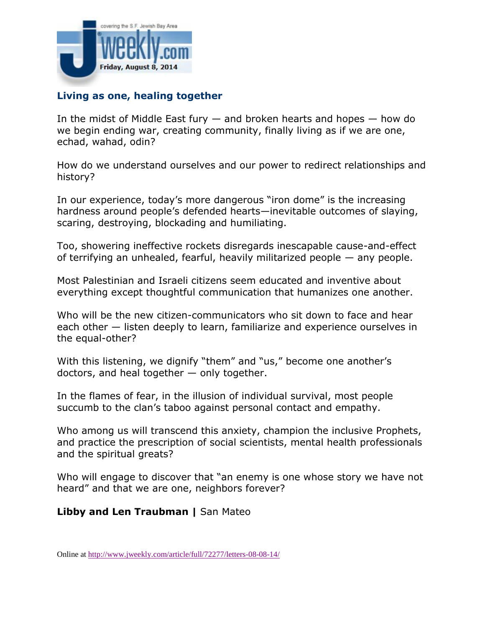

## **Living as one, healing together**

In the midst of Middle East fury  $-$  and broken hearts and hopes  $-$  how do we begin ending war, creating community, finally living as if we are one, echad, wahad, odin?

How do we understand ourselves and our power to redirect relationships and history?

In our experience, today's more dangerous "iron dome" is the increasing hardness around people's defended hearts—inevitable outcomes of slaying, scaring, destroying, blockading and humiliating.

Too, showering ineffective rockets disregards inescapable cause-and-effect of terrifying an unhealed, fearful, heavily militarized people — any people.

Most Palestinian and Israeli citizens seem educated and inventive about everything except thoughtful communication that humanizes one another.

Who will be the new citizen-communicators who sit down to face and hear each other — listen deeply to learn, familiarize and experience ourselves in the equal-other?

With this listening, we dignify "them" and "us," become one another's doctors, and heal together — only together.

In the flames of fear, in the illusion of individual survival, most people succumb to the clan's taboo against personal contact and empathy.

Who among us will transcend this anxiety, champion the inclusive Prophets, and practice the prescription of social scientists, mental health professionals and the spiritual greats?

Who will engage to discover that "an enemy is one whose story we have not heard" and that we are one, neighbors forever?

## **Libby and Len Traubman |** San Mateo